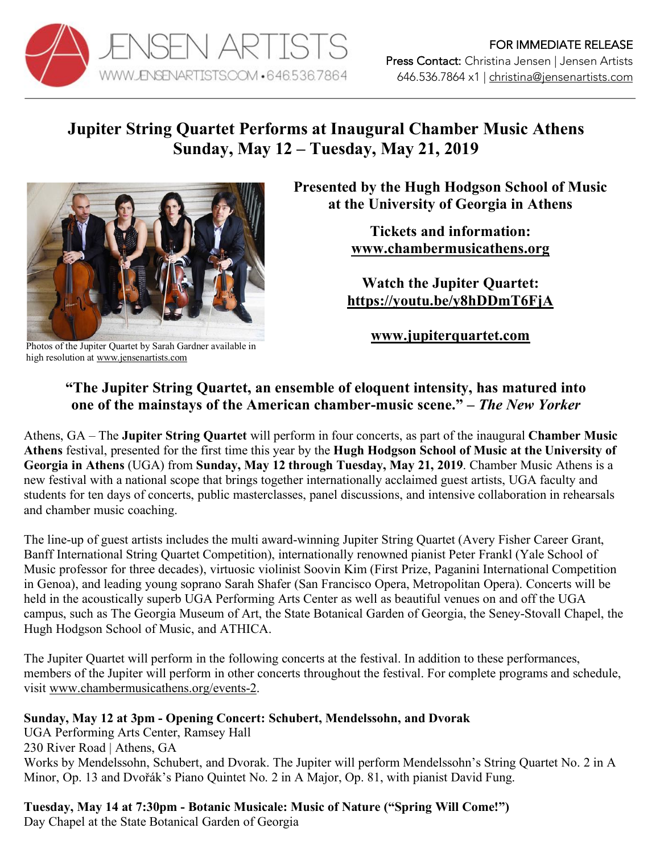

# **Jupiter String Quartet Performs at Inaugural Chamber Music Athens Sunday, May 12 – Tuesday, May 21, 2019**



Photos of the Jupiter Quartet by Sarah Gardner available in high resolution at www.jensenartists.com

**Presented by the Hugh Hodgson School of Music at the University of Georgia in Athens**

> **Tickets and information: www.chambermusicathens.org**

**Watch the Jupiter Quartet: https://youtu.be/y8hDDmT6FjA**

**www.jupiterquartet.com**

## **"The Jupiter String Quartet, an ensemble of eloquent intensity, has matured into one of the mainstays of the American chamber-music scene." –** *The New Yorker*

Athens, GA – The **Jupiter String Quartet** will perform in four concerts, as part of the inaugural **Chamber Music Athens** festival, presented for the first time this year by the **Hugh Hodgson School of Music at the University of Georgia in Athens** (UGA) from **Sunday, May 12 through Tuesday, May 21, 2019**. Chamber Music Athens is a new festival with a national scope that brings together internationally acclaimed guest artists, UGA faculty and students for ten days of concerts, public masterclasses, panel discussions, and intensive collaboration in rehearsals and chamber music coaching.

The line-up of guest artists includes the multi award-winning Jupiter String Quartet (Avery Fisher Career Grant, Banff International String Quartet Competition), internationally renowned pianist Peter Frankl (Yale School of Music professor for three decades), virtuosic violinist Soovin Kim (First Prize, Paganini International Competition in Genoa), and leading young soprano Sarah Shafer (San Francisco Opera, Metropolitan Opera). Concerts will be held in the acoustically superb UGA Performing Arts Center as well as beautiful venues on and off the UGA campus, such as The Georgia Museum of Art, the State Botanical Garden of Georgia, the Seney-Stovall Chapel, the Hugh Hodgson School of Music, and ATHICA.

The Jupiter Quartet will perform in the following concerts at the festival. In addition to these performances, members of the Jupiter will perform in other concerts throughout the festival. For complete programs and schedule, visit www.chambermusicathens.org/events-2.

### **Sunday, May 12 at 3pm - Opening Concert: Schubert, Mendelssohn, and Dvorak**

UGA Performing Arts Center, Ramsey Hall 230 River Road | Athens, GA Works by Mendelssohn, Schubert, and Dvorak. The Jupiter will perform Mendelssohn's String Quartet No. 2 in A Minor, Op. 13 and Dvořák's Piano Quintet No. 2 in A Major, Op. 81, with pianist David Fung.

**Tuesday, May 14 at 7:30pm - Botanic Musicale: Music of Nature ("Spring Will Come!")**

Day Chapel at the State Botanical Garden of Georgia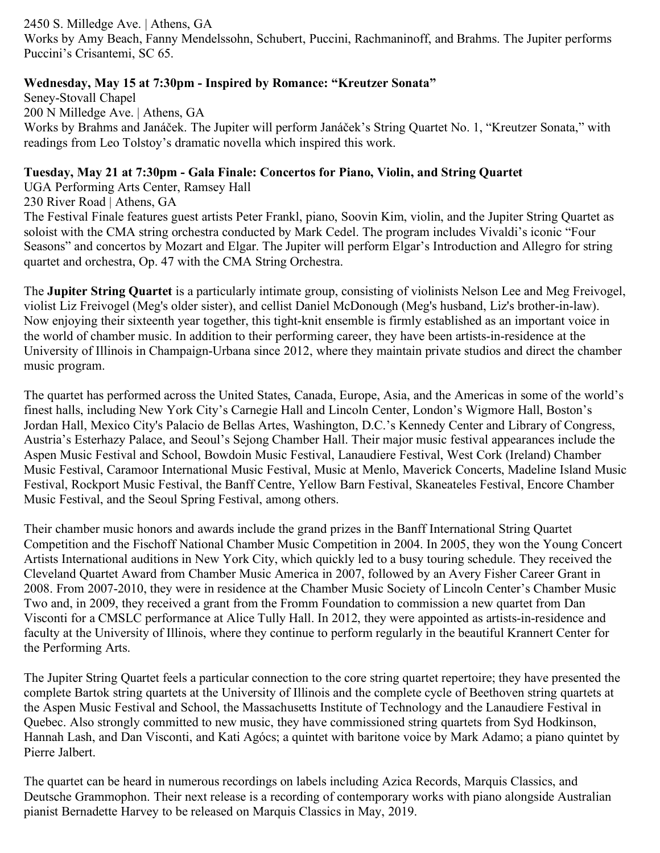2450 S. Milledge Ave. | Athens, GA Works by Amy Beach, Fanny Mendelssohn, Schubert, Puccini, Rachmaninoff, and Brahms. The Jupiter performs Puccini's Crisantemi, SC 65.

### **Wednesday, May 15 at 7:30pm - Inspired by Romance: "Kreutzer Sonata"**

Seney-Stovall Chapel 200 N Milledge Ave. | Athens, GA Works by Brahms and Janáček. The Jupiter will perform Janáček's String Quartet No. 1, "Kreutzer Sonata," with readings from Leo Tolstoy's dramatic novella which inspired this work.

#### **Tuesday, May 21 at 7:30pm - Gala Finale: Concertos for Piano, Violin, and String Quartet**

UGA Performing Arts Center, Ramsey Hall

230 River Road | Athens, GA

The Festival Finale features guest artists Peter Frankl, piano, Soovin Kim, violin, and the Jupiter String Quartet as soloist with the CMA string orchestra conducted by Mark Cedel. The program includes Vivaldi's iconic "Four Seasons" and concertos by Mozart and Elgar. The Jupiter will perform Elgar's Introduction and Allegro for string quartet and orchestra, Op. 47 with the CMA String Orchestra.

The **Jupiter String Quartet** is a particularly intimate group, consisting of violinists Nelson Lee and Meg Freivogel, violist Liz Freivogel (Meg's older sister), and cellist Daniel McDonough (Meg's husband, Liz's brother-in-law). Now enjoying their sixteenth year together, this tight-knit ensemble is firmly established as an important voice in the world of chamber music. In addition to their performing career, they have been artists-in-residence at the University of Illinois in Champaign-Urbana since 2012, where they maintain private studios and direct the chamber music program.

The quartet has performed across the United States, Canada, Europe, Asia, and the Americas in some of the world's finest halls, including New York City's Carnegie Hall and Lincoln Center, London's Wigmore Hall, Boston's Jordan Hall, Mexico City's Palacio de Bellas Artes, Washington, D.C.'s Kennedy Center and Library of Congress, Austria's Esterhazy Palace, and Seoul's Sejong Chamber Hall. Their major music festival appearances include the Aspen Music Festival and School, Bowdoin Music Festival, Lanaudiere Festival, West Cork (Ireland) Chamber Music Festival, Caramoor International Music Festival, Music at Menlo, Maverick Concerts, Madeline Island Music Festival, Rockport Music Festival, the Banff Centre, Yellow Barn Festival, Skaneateles Festival, Encore Chamber Music Festival, and the Seoul Spring Festival, among others.

Their chamber music honors and awards include the grand prizes in the Banff International String Quartet Competition and the Fischoff National Chamber Music Competition in 2004. In 2005, they won the Young Concert Artists International auditions in New York City, which quickly led to a busy touring schedule. They received the Cleveland Quartet Award from Chamber Music America in 2007, followed by an Avery Fisher Career Grant in 2008. From 2007-2010, they were in residence at the Chamber Music Society of Lincoln Center's Chamber Music Two and, in 2009, they received a grant from the Fromm Foundation to commission a new quartet from Dan Visconti for a CMSLC performance at Alice Tully Hall. In 2012, they were appointed as artists-in-residence and faculty at the University of Illinois, where they continue to perform regularly in the beautiful Krannert Center for the Performing Arts.

The Jupiter String Quartet feels a particular connection to the core string quartet repertoire; they have presented the complete Bartok string quartets at the University of Illinois and the complete cycle of Beethoven string quartets at the Aspen Music Festival and School, the Massachusetts Institute of Technology and the Lanaudiere Festival in Quebec. Also strongly committed to new music, they have commissioned string quartets from Syd Hodkinson, Hannah Lash, and Dan Visconti, and Kati Agócs; a quintet with baritone voice by Mark Adamo; a piano quintet by Pierre Jalbert.

The quartet can be heard in numerous recordings on labels including Azica Records, Marquis Classics, and Deutsche Grammophon. Their next release is a recording of contemporary works with piano alongside Australian pianist Bernadette Harvey to be released on Marquis Classics in May, 2019.